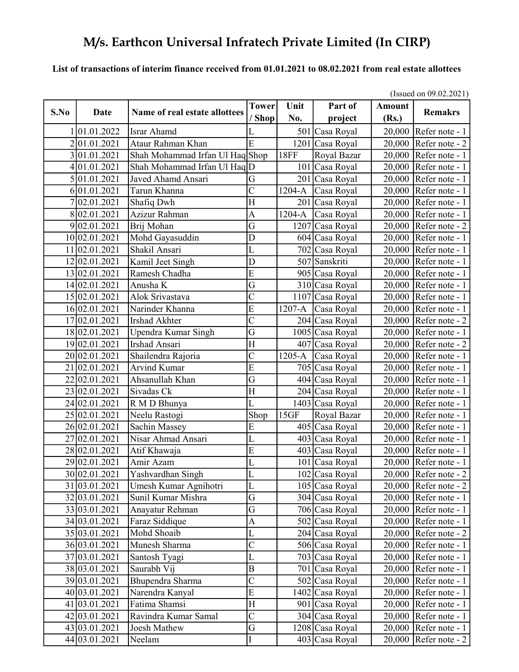### List of transactions of interim finance received from 01.01.2021 to 08.02.2021 from real estate allottees

|      | (Issued on 09.02.2021) |                                |                        |             |                    |                        |                                    |
|------|------------------------|--------------------------------|------------------------|-------------|--------------------|------------------------|------------------------------------|
| S.No | <b>Date</b>            | Name of real estate allottees  | <b>Tower</b><br>/ Shop | Unit<br>No. | Part of<br>project | <b>Amount</b><br>(Rs.) | <b>Remakrs</b>                     |
|      | 01.01.2022             | Israr Ahamd                    | L                      |             | 501 Casa Royal     | 20,000                 | Refer note - 1                     |
|      | 201.01.2021            | Ataur Rahman Khan              | $\overline{E}$         |             | 1201 Casa Royal    | 20,000                 | Refer note - 2                     |
|      | 301.01.2021            | Shah Mohammad Irfan Ul HaqShop |                        | <b>18FF</b> | Royal Bazar        | 20,000                 | Refer note - 1                     |
| 4    | 01.01.2021             | Shah Mohammad Irfan Ul HaqD    |                        |             | 101 Casa Royal     | 20,000                 | Refer note - 1                     |
|      | 5 01.01.2021           | Javed Ahamd Ansari             | G                      |             | 201 Casa Royal     | 20,000                 | Refer note - 1                     |
|      | 6 01.01.2021           | Tarun Khanna                   | $\overline{\rm C}$     | 1204-A      | Casa Royal         | 20,000                 | Refer note - 1                     |
|      | 02.01.2021             | Shafiq Dwh                     | H                      | 201         | Casa Royal         | 20,000                 | Refer note - 1                     |
|      | 8 02.01.2021           | Azizur Rahman                  | $\overline{A}$         | 1204-A      | Casa Royal         | 20,000                 | Refer note - 1                     |
|      | 9 02.01.2021           | Brij Mohan                     | G                      |             | 1207 Casa Royal    | 20,000                 | Refer note - 2                     |
|      | 10 02.01.2021          | Mohd Gayasuddin                | D                      |             | 604 Casa Royal     | 20,000                 | Refer note - 1                     |
|      | 11 02.01.2021          | Shakil Ansari                  | L                      |             | 702 Casa Royal     | 20,000                 | Refer note - 1                     |
|      | 12 02.01.2021          | Kamil Jeet Singh               | D                      |             | 507 Sanskriti      | 20,000                 | Refer note - 1                     |
|      | 13 02.01.2021          | Ramesh Chadha                  | E                      |             | 905 Casa Royal     | 20,000                 | Refer note - 1                     |
|      | 14 02.01.2021          | Anusha K                       | G                      |             | 310 Casa Royal     | 20,000                 | Refer note - 1                     |
|      | 15 02.01.2021          | Alok Srivastava                | $\overline{\rm C}$     |             | $1107$ Casa Royal  | 20,000                 | Refer note - 1                     |
|      | 16 02.01.2021          | Narinder Khanna                | $\overline{E}$         | 1207-A      | Casa Royal         | 20,000                 | Refer note - 1                     |
|      | 17 02.01.2021          | <b>Irshad Akhter</b>           | $\overline{\text{C}}$  |             | 204 Casa Royal     | 20,000                 | Refer note - 2                     |
|      | 18 02.01.2021          | Upendra Kumar Singh            | G                      |             | 1005 Casa Royal    | 20,000                 | Refer note - 1                     |
|      | 19 02.01.2021          | Irshad Ansari                  | H                      |             | 407 Casa Royal     | 20,000                 | Refer note - 2                     |
|      | 20 02.01.2021          | Shailendra Rajoria             | $\overline{\rm C}$     | 1205-A      | Casa Royal         | 20,000                 | Refer note - 1                     |
| 21   | 02.01.2021             | <b>Arvind Kumar</b>            | Ē                      |             | 705 Casa Royal     | 20,000                 | Refer note - 1                     |
|      | 22 02.01.2021          | Ahsanullah Khan                | G                      |             | 404 Casa Royal     | 20,000                 | Refer note - 1                     |
|      | 23 02.01.2021          | Sivadas Ck                     | $\overline{H}$         |             | 204 Casa Royal     | 20,000                 | Refer note - 1                     |
|      | 24 02.01.2021          | R M D Bhunya                   | Ĺ                      |             | 1403 Casa Royal    | 20,000                 | Refer note - 1                     |
|      | 25 02.01.2021          | Neelu Rastogi                  | Shop                   | 15GF        | Royal Bazar        | 20,000                 | Refer note - 1                     |
|      | 26 02.01.2021          | Sachin Massey                  | $\overline{E}$         |             | 405 Casa Royal     | 20,000                 | Refer note - 1                     |
| 27   | 02.01.2021             | Nisar Ahmad Ansari             | L                      |             | 403 Casa Royal     | 20,000                 | Refer note - 1                     |
|      | 28 02.01.2021          | Atif Khawaja                   | E                      |             | 403 Casa Royal     | 20,000                 | Refer note - 1                     |
|      | 29 02.01.2021          | Amir Azam                      | L                      |             | 101 Casa Royal     | 20,000                 | Refer note - 1                     |
|      | 30 02.01.2021          | Yashvardhan Singh              | L                      |             | 102 Casa Royal     |                        | 20,000 Refer note - 2              |
|      | 31 03.01.2021          | Umesh Kumar Agnihotri          | L                      |             | 105 Casa Royal     |                        | $20,000$ Refer note - 2            |
|      | 32 03.01.2021          | Sunil Kumar Mishra             | G                      |             | 304 Casa Royal     |                        | 20,000 Refer note - 1              |
|      | 33 03.01.2021          | Anayatur Rehman                | G                      |             | 706 Casa Royal     |                        | 20,000 Refer note - 1              |
|      | 34 03.01.2021          | Faraz Siddique                 | $\mathbf{A}$           |             | 502 Casa Royal     |                        | $\overline{20,000}$ Refer note - 1 |
|      | 35 03.01.2021          | Mohd Shoaib                    | L                      |             | 204 Casa Royal     |                        | 20,000 Refer note - 2              |
|      | 36 03.01.2021          | Munesh Sharma                  | $\overline{C}$         |             | 506 Casa Royal     |                        | 20,000 Refer note - 1              |
|      | 37 03.01.2021          | Santosh Tyagi                  | L                      |             | 703 Casa Royal     |                        | 20,000 Refer note - 1              |
|      | 38 03.01.2021          | Saurabh Vij                    | $\, {\bf B}$           |             | 701 Casa Royal     | 20,000                 | Refer note - 1                     |
|      | 39 03.01.2021          | Bhupendra Sharma               | $\overline{C}$         |             | 502 Casa Royal     |                        | 20,000 Refer note - 1              |
|      | 40 03.01.2021          | Narendra Kanyal                | ${\bf E}$              |             | 1402 Casa Royal    |                        | $20,000$ Refer note - 1            |
|      | 41 03.01.2021          | Fatima Shamsi                  | H                      |             | 901 Casa Royal     |                        | 20,000 Refer note - 1              |
|      | 42 03.01.2021          | Ravindra Kumar Samal           | $\mathsf{C}$           |             | 304 Casa Royal     |                        | 20,000 Refer note - 1              |
|      | 43 03.01.2021          | Joesh Mathew                   | G                      |             | 1208 Casa Royal    | 20,000                 | Refer note - 1                     |
|      | 44 03.01.2021          | Neelam                         | I                      |             | 403 Casa Royal     | 20,000                 | Refer note - $2$                   |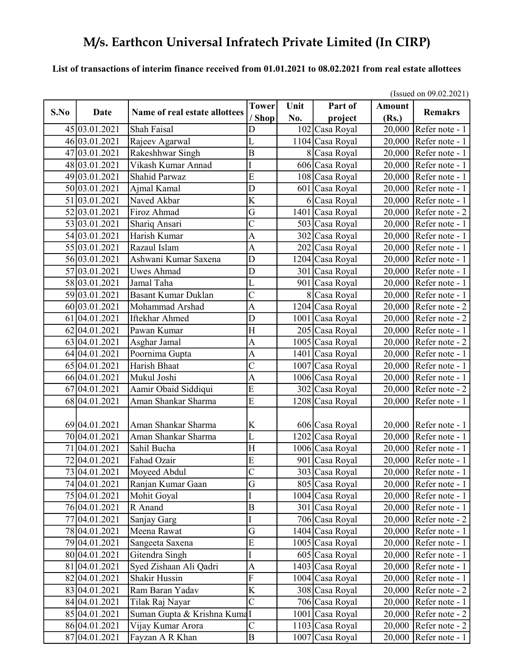### List of transactions of interim finance received from 01.01.2021 to 08.02.2021 from real estate allottees

|      |                           |                               | (Issued on $09.02.2021$ ) |      |                   |               |                         |  |  |
|------|---------------------------|-------------------------------|---------------------------|------|-------------------|---------------|-------------------------|--|--|
| S.No | Date                      | Name of real estate allottees | <b>Tower</b>              | Unit | Part of           | <b>Amount</b> | <b>Remakrs</b>          |  |  |
|      |                           |                               | 'Shop                     | No.  | project           | (Rs.)         |                         |  |  |
|      | 45 03.01.2021             | Shah Faisal                   | D                         |      | 102 Casa Royal    |               | 20,000 Refer note - 1   |  |  |
|      | 46 03.01.2021             | Rajeev Agarwal                | L                         |      | $1104$ Casa Royal |               | 20,000 Refer note - 1   |  |  |
|      | 47 03.01.2021             | Rakeshhwar Singh              | $\overline{B}$            |      | 8 Casa Royal      | 20,000        | Refer note - 1          |  |  |
|      | 48 03.01.2021             | Vikash Kumar Annad            | I                         |      | 606 Casa Royal    | 20,000        | Refer note - 1          |  |  |
|      | 49 03.01.2021             | <b>Shahid Parwaz</b>          | $\overline{E}$            |      | 108 Casa Royal    | 20,000        | Refer note - 1          |  |  |
|      | 50 03.01.2021             | Ajmal Kamal                   | D                         |      | 601 Casa Royal    | 20,000        | Refer note - 1          |  |  |
|      | 51 03.01.2021             | Naved Akbar                   | $\overline{K}$            |      | 6 Casa Royal      | 20,000        | Refer note - 1          |  |  |
|      | 52 03.01.2021             | Firoz Ahmad                   | G                         |      | 1401 Casa Royal   | 20,000        | Refer note - 2          |  |  |
|      | 53 03.01.2021             | Shariq Ansari                 | $\overline{\text{C}}$     |      | 503 Casa Royal    | 20,000        | Refer note - 1          |  |  |
|      | 54 03.01.2021             | Harish Kumar                  | A                         |      | 302 Casa Royal    | 20,000        | Refer note - 1          |  |  |
|      | 55 03.01.2021             | Razaul Islam                  | A                         |      | 202 Casa Royal    | 20,000        | Refer note - 1          |  |  |
|      | 56 03.01.2021             | Ashwani Kumar Saxena          | $\overline{\mathsf{D}}$   |      | 1204 Casa Royal   | 20,000        | Refer note - 1          |  |  |
|      | 57 03.01.2021             | <b>Uwes Ahmad</b>             | D                         |      | 301 Casa Royal    | 20,000        | Refer note - 1          |  |  |
|      | 58 03.01.2021             | Jamal Taha                    | Ĺ                         |      | 901 Casa Royal    | 20,000        | Refer note - 1          |  |  |
|      | 59 03.01.2021             | <b>Basant Kumar Duklan</b>    | $\overline{C}$            |      | 8 Casa Royal      | 20,000        | Refer note - 1          |  |  |
|      | 60 03.01.2021             | Mohammad Arshad               | $\overline{\mathbf{A}}$   |      | $1204$ Casa Royal | 20,000        | Refer note - 2          |  |  |
| 61   | [04.01.2021]              | Iftekhar Ahmed                | D                         |      | 1001 Casa Royal   | 20,000        | Refer note - 2          |  |  |
|      | 62 04.01.2021             | Pawan Kumar                   | $\vert H \vert$           |      | 205 Casa Royal    | 20,000        | Refer note - 1          |  |  |
|      | 63 04.01.2021             | Asghar Jamal                  | A                         |      | 1005 Casa Royal   | 20,000        | Refer note - 2          |  |  |
|      | 64 04.01.2021             | Poornima Gupta                | $\overline{A}$            |      | 1401 Casa Royal   | 20,000        | Refer note - 1          |  |  |
|      | $65\overline{04.01.2021}$ | Harish Bhaat                  | $\overline{\rm C}$        |      | 1007 Casa Royal   |               | 20,000 Refer note - 1   |  |  |
|      | 66 04.01.2021             | Mukul Joshi                   | A                         |      | 1006 Casa Royal   | 20,000        | Refer note - 1          |  |  |
| 67   | 04.01.2021                | Aamir Obaid Siddiqui          | $\overline{\mathrm{E}}$   |      | 302 Casa Royal    | 20,000        | Refer note - 2          |  |  |
|      | 68 04.01.2021             | Aman Shankar Sharma           | $\overline{E}$            |      | 1208 Casa Royal   | 20,000        | Refer note - 1          |  |  |
|      |                           |                               |                           |      |                   |               |                         |  |  |
|      | 69 04.01.2021             | Aman Shankar Sharma           | K                         |      | 606 Casa Royal    |               | $20,000$ Refer note - 1 |  |  |
|      | 70 04.01.2021             | Aman Shankar Sharma           | L                         |      | 1202 Casa Royal   |               | $20,000$ Refer note - 1 |  |  |
| 71   | 04.01.2021                | Sahil Bucha                   | H                         |      | 1006 Casa Royal   | 20,000        | Refer note - 1          |  |  |
| 72   | 04.01.2021                | Fahad Ozair                   | $\overline{E}$            |      | 901 Casa Royal    | 20,000        | Refer note - 1          |  |  |
|      | 73 04.01.2021             | Moyeed Abdul                  | $\overline{C}$            |      | 303 Casa Royal    |               | 20,000 Refer note - 1   |  |  |
|      | 74 04.01.2021             | Ranjan Kumar Gaan             | G                         |      | 805 Casa Royal    |               | $20,000$ Refer note - 1 |  |  |
|      | 75 04.01.2021             | Mohit Goyal                   | I                         |      | 1004 Casa Royal   |               | 20,000 Refer note - 1   |  |  |
|      | 76 04.01.2021             | R Anand                       | B                         |      | 301 Casa Royal    |               | $20,000$ Refer note - 1 |  |  |
|      | 77 04.01.2021             | Sanjay Garg                   | I                         |      | 706 Casa Royal    |               | $20,000$ Refer note - 2 |  |  |
|      | 78 04.01.2021             | Meena Rawat                   | G                         |      | 1404 Casa Royal   |               | $20,000$ Refer note - 1 |  |  |
|      | 79 04.01.2021             | Sangeeta Saxena               | E                         |      | 1005 Casa Royal   |               | 20,000 Refer note - 1   |  |  |
|      | 80 04.01.2021             | Gitendra Singh                | I                         |      | 605 Casa Royal    |               | 20,000 Refer note - 1   |  |  |
|      | 81 04.01.2021             | Syed Zishaan Ali Qadri        | $\boldsymbol{\mathsf{A}}$ |      | 1403 Casa Royal   |               | 20,000 Refer note - 1   |  |  |
|      | 82 04.01.2021             | <b>Shakir Hussin</b>          | ${\bf F}$                 |      | 1004 Casa Royal   | 20,000        | Refer note - 1          |  |  |
|      | 83 04.01.2021             | Ram Baran Yadav               | K                         |      | 308 Casa Royal    |               | 20,000 Refer note - 2   |  |  |
|      | 84 04.01.2021             | Tilak Raj Nayar               | $\overline{\rm c}$        |      | 706 Casa Royal    |               | $20,000$ Refer note - 1 |  |  |
|      | 85 04.01.2021             | Suman Gupta & Krishna KumaI   |                           |      | 1001 Casa Royal   |               | $20,000$ Refer note - 2 |  |  |
|      | 86 04.01.2021             | Vijay Kumar Arora             | $\mathcal{C}$             |      | 1103 Casa Royal   |               | $20,000$ Refer note - 2 |  |  |
|      | 87 04.01.2021             | Fayzan A R Khan               | $\vert$ B                 |      | 1007 Casa Royal   | 20,000        | Refer note - 1          |  |  |

 $(I_{\text{S}} = 1$  00.02.2021)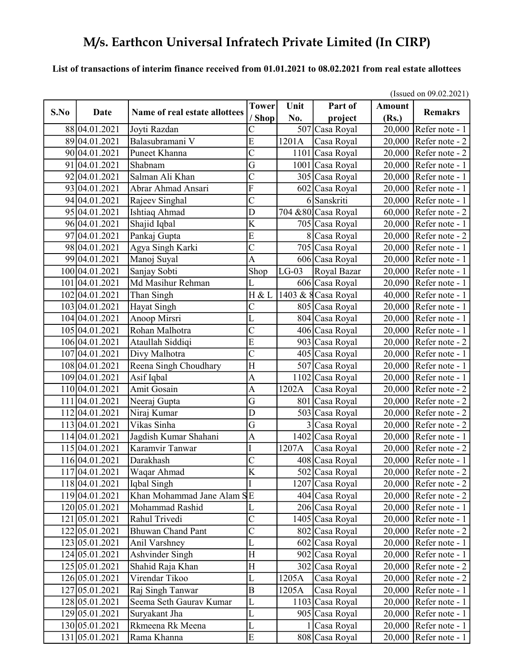#### List of transactions of interim finance received from 01.01.2021 to 08.02.2021 from real estate allottees

|      |                |                               | (Issued on $09.02.2021$ ) |         |                     |               |                                |  |
|------|----------------|-------------------------------|---------------------------|---------|---------------------|---------------|--------------------------------|--|
| S.No | Date           | Name of real estate allottees | <b>Tower</b>              | Unit    | Part of             | <b>Amount</b> | <b>Remakrs</b>                 |  |
|      |                |                               | / Shop                    | No.     | project             | (Rs.)         |                                |  |
|      | 88 04.01.2021  | Joyti Razdan                  | С                         |         | 507 Casa Royal      | 20,000        | Refer note - 1                 |  |
|      | 89 04.01.2021  | Balasubramani V               | E                         | 1201A   | Casa Royal          |               | 20,000 Refer note - 2          |  |
|      | 90 04.01.2021  | Puneet Khanna                 | $\overline{C}$            |         | 1101 Casa Royal     | 20,000        | Refer note - 2                 |  |
| 91   | 04.01.2021     | Shabnam                       | $\overline{G}$            |         | 1001 Casa Royal     | 20,000        | Refer note - 1                 |  |
| 92   | 04.01.2021     | Salman Ali Khan               | $\overline{\rm C}$        |         | 305 Casa Royal      | 20,000        | Refer note - 1                 |  |
|      | 93 04.01.2021  | Abrar Ahmad Ansari            | $\overline{\mathrm{F}}$   |         | 602 Casa Royal      | 20,000        | Refer note - 1                 |  |
|      | 94 04.01.2021  | Rajeev Singhal                | $\overline{C}$            |         | 6 Sanskriti         | 20,000        | Refer note - 1                 |  |
|      | 95 04.01.2021  | Ishtiaq Ahmad                 | D                         |         | 704 & 80 Casa Royal | 60,000        | Refer note - 2                 |  |
|      | 96 04.01.2021  | Shajid Iqbal                  | K                         |         | 705 Casa Royal      | 20,000        | Refer note - 1                 |  |
|      | 97 04.01.2021  | Pankaj Gupta                  | $\overline{E}$            |         | 8 Casa Royal        | 20,000        | Refer note - 2                 |  |
|      | 98 04.01.2021  | Agya Singh Karki              | $\overline{\text{C}}$     |         | 705 Casa Royal      | 20,000        | Refer note - 1                 |  |
|      | 99 04.01.2021  | Manoj Suyal                   | $\overline{A}$            |         | 606 Casa Royal      | 20,000        | Refer note - 1                 |  |
|      | 100 04.01.2021 | Sanjay Sobti                  | Shop                      | $LG-03$ | Royal Bazar         | 20,000        | Refer note - 1                 |  |
|      | 101 04.01.2021 | Md Masihur Rehman             | L                         |         | 606 Casa Royal      | 20,090        | Refer note - 1                 |  |
|      | 102 04.01.2021 | Than Singh                    | H & L                     |         | 1403 & 8 Casa Royal | 40,000        | Refer note - 1                 |  |
|      | 103 04.01.2021 | Hayat Singh                   | $\mathcal{C}_{0}^{(n)}$   |         | 805 Casa Royal      | 20,000        | Refer note - 1                 |  |
|      | 104 04.01.2021 | Anoop Mirsri                  | L                         |         | 804 Casa Royal      | 20,000        | Refer note - 1                 |  |
|      | 105 04.01.2021 | Rohan Malhotra                | $\overline{\rm C}$        |         | 406 Casa Royal      | 20,000        | Refer note - 1                 |  |
|      | 106 04.01.2021 | Ataullah Siddiqi              | E                         |         | 903 Casa Royal      | 20,000        | Refer note - 2                 |  |
|      | 107 04.01.2021 | Divy Malhotra                 | $\overline{\rm C}$        |         | 405 Casa Royal      | 20,000        | Refer note - 1                 |  |
|      | 108 04.01.2021 | Reena Singh Choudhary         | $\overline{H}$            |         | 507 Casa Royal      | 20,000        | Refer note - 1                 |  |
|      | 109 04.01.2021 | Asif Iqbal                    | $\overline{A}$            |         | 1102 Casa Royal     | 20,000        | Refer note - 1                 |  |
|      | 110 04.01.2021 | Amit Gosain                   | A                         | 1202A   | Casa Royal          | 20,000        | Refer note - 2                 |  |
|      | 111 04.01.2021 | Neeraj Gupta                  | G                         |         | 801 Casa Royal      | 20,000        | $\sqrt{\text{Refer}}$ note - 2 |  |
|      | 112 04.01.2021 | Niraj Kumar                   | D                         |         | 503 Casa Royal      | 20,000        | Refer note - 2                 |  |
|      | 113 04.01.2021 | Vikas Sinha                   | G                         |         | 3 Casa Royal        | 20,000        | Refer note - 2                 |  |
|      | 114 04.01.2021 | Jagdish Kumar Shahani         | A                         |         | $1402$ Casa Royal   | 20,000        | Refer note - 1                 |  |
|      | 115 04.01.2021 | Karamvir Tanwar               | I                         | 1207A   | Casa Royal          | 20,000        | Refer note - 2                 |  |
|      | 116 04.01.2021 | Darakhash                     | $\overline{\rm C}$        |         | 408 Casa Royal      | 20,000        | Refer note - 1                 |  |
|      | 117 04.01.2021 | Waqar Ahmad                   | $\overline{K}$            |         | 502 Casa Royal      |               | 20,000 Refer note - 2          |  |
|      | 118 04.01.2021 | Iqbal Singh                   |                           |         | 1207 Casa Royal     |               | 20,000 Refer note - $2 \vert$  |  |
|      | 119 04.01.2021 | Khan Mohammad Jane Alam SE    |                           |         | 404 Casa Royal      |               | $20,000$ Refer note - 2        |  |
|      | 120 05.01.2021 | Mohammad Rashid               | L                         |         | 206 Casa Royal      |               | $20,000$ Refer note - 1        |  |
|      | 121 05.01.2021 | Rahul Trivedi                 | $\mathsf{C}$              |         | 1405 Casa Royal     |               | 20,000 Refer note - 1          |  |
|      | 122 05.01.2021 | <b>Bhuwan Chand Pant</b>      | $\overline{C}$            |         | 802 Casa Royal      |               | $20,000$ Refer note - 2        |  |
|      | 123 05.01.2021 | Anil Varshney                 | L                         |         | 602 Casa Royal      |               | 20,000 Refer note - 1          |  |
|      | 124 05.01.2021 | Ashvinder Singh               | $H_{\rm}$                 |         | 902 Casa Royal      |               | 20,000 Refer note - 1          |  |
|      | 125 05.01.2021 | Shahid Raja Khan              | H                         |         | 302 Casa Royal      |               | 20,000 Refer note - 2          |  |
|      | 126 05.01.2021 | Virendar Tikoo                | L                         | 1205A   | Casa Royal          |               | $20,000$ Refer note - 2        |  |
|      | 127 05.01.2021 | Raj Singh Tanwar              | $\boldsymbol{B}$          | 1205A   | Casa Royal          |               | $20,000$ Refer note - 1        |  |
|      | 128 05.01.2021 | Seema Seth Gaurav Kumar       | L                         |         | 1103 Casa Royal     |               | 20,000 Refer note - 1          |  |
|      | 129 05.01.2021 | Suryakant Jha                 | L                         |         | 905 Casa Royal      |               | 20,000 Refer note - 1          |  |
|      | 130 05.01.2021 | Rkmeena Rk Meena              | L                         |         | 1 Casa Royal        |               | $20,000$ Refer note - 1        |  |
|      | 131 05.01.2021 | Rama Khanna                   | ${\bf E}$                 |         | 808 Casa Royal      |               | $20,000$ Refer note - 1        |  |

 $(I_{\text{S}} = 1.00022021)$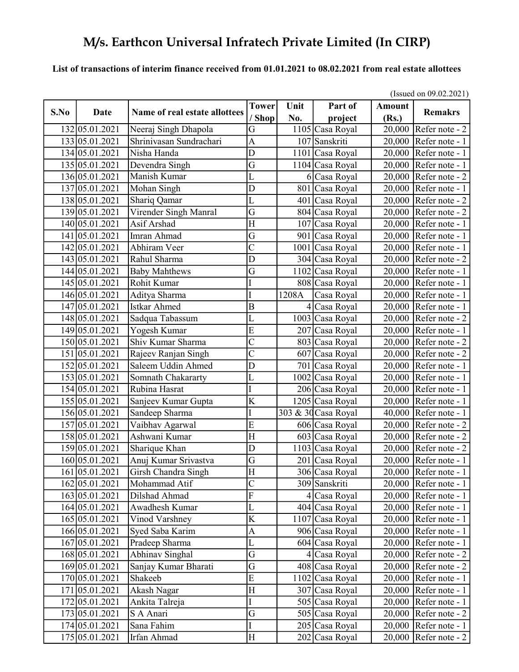### List of transactions of interim finance received from 01.01.2021 to 08.02.2021 from real estate allottees

|      |                |                               | (Issued on $09.02.2021$ ) |       |                     |               |                         |  |
|------|----------------|-------------------------------|---------------------------|-------|---------------------|---------------|-------------------------|--|
| S.No | Date           | Name of real estate allottees | <b>Tower</b>              | Unit  | Part of             | <b>Amount</b> | <b>Remakrs</b>          |  |
|      |                |                               | / Shop                    | No.   | project             | (Rs.)         |                         |  |
|      | 132 05.01.2021 | Neeraj Singh Dhapola          | G                         |       | 1105 Casa Royal     |               | 20,000 Refer note - 2   |  |
|      | 133 05.01.2021 | Shrinivasan Sundrachari       | $\overline{A}$            |       | 107 Sanskriti       |               | $20,000$ Refer note - 1 |  |
|      | 134 05.01.2021 | Nisha Handa                   | D                         |       | 1101 Casa Royal     |               | 20,000 Refer note - 1   |  |
|      | 135 05.01.2021 | Devendra Singh                | G                         |       | 1104 Casa Royal     | 20,000        | Refer note - 1          |  |
|      | 136 05.01.2021 | Manish Kumar                  | L                         |       | 6 Casa Royal        | 20,000        | Refer note - 2          |  |
|      | 137 05.01.2021 | Mohan Singh                   | D                         |       | 801 Casa Royal      |               | 20,000 Refer note - 1   |  |
|      | 138 05.01.2021 | Shariq Qamar                  | L                         |       | 401 Casa Royal      | 20,000        | Refer note - 2          |  |
|      | 139 05.01.2021 | Virender Singh Manral         | G                         |       | 804 Casa Royal      | 20,000        | Refer note - 2          |  |
|      | 140 05.01.2021 | Asif Arshad                   | $\overline{\mathrm{H}}$   |       | 107 Casa Royal      | 20,000        | Refer note - 1          |  |
|      | 141 05.01.2021 | Imran Ahmad                   | G                         |       | 901 Casa Royal      | 20,000        | Refer note - 1          |  |
|      | 142 05.01.2021 | Abhiram Veer                  | $\overline{\rm C}$        |       | 1001 Casa Royal     | 20,000        | Refer note - 1          |  |
|      | 143 05.01.2021 | Rahul Sharma                  | D                         |       | 304 Casa Royal      |               | $20,000$ Refer note - 2 |  |
|      | 144 05.01.2021 | <b>Baby Mahthews</b>          | G                         |       | 1102 Casa Royal     | 20,000        | Refer note - 1          |  |
|      | 145 05.01.2021 | Rohit Kumar                   |                           |       | 808 Casa Royal      | 20,000        | Refer note - 1          |  |
|      | 146 05.01.2021 | Aditya Sharma                 | I                         | 1208A | Casa Royal          |               | 20,000 Refer note - 1   |  |
|      | 147 05.01.2021 | <b>Istkar Ahmed</b>           | $\overline{B}$            |       | 4 Casa Royal        | 20,000        | Refer note - 1          |  |
|      | 148 05.01.2021 | Sadqua Tabassum               | L                         |       | 1003 Casa Royal     | 20,000        | Refer note - 2          |  |
|      | 149 05.01.2021 | Yogesh Kumar                  | E                         |       | 207 Casa Royal      | 20,000        | Refer note - 1          |  |
|      | 150 05.01.2021 | Shiv Kumar Sharma             | $\overline{\text{C}}$     |       | 803 Casa Royal      | 20,000        | Refer note - 2          |  |
|      | 151 05.01.2021 | Rajeev Ranjan Singh           | $\overline{\text{C}}$     |       | 607 Casa Royal      | 20,000        | Refer note - 2          |  |
|      | 152 05.01.2021 | Saleem Uddin Ahmed            | D                         |       | 701 Casa Royal      |               | 20,000 Refer note - 1   |  |
|      | 153 05.01.2021 | Somnath Chakararty            | L                         |       | 1002 Casa Royal     | 20,000        | Refer note - 1          |  |
|      | 154 05.01.2021 | Rubina Hasrat                 |                           |       | 206 Casa Royal      | 20,000        | Refer note - 1          |  |
|      | 155 05.01.2021 | Sanjeev Kumar Gupta           | K                         |       | 1205 Casa Royal     | 20,000        | Refer note - 1          |  |
|      | 156 05.01.2021 | Sandeep Sharma                | Ι                         |       | 303 & 30 Casa Royal | 40,000        | Refer note - 1          |  |
|      | 157 05.01.2021 | Vaibhav Agarwal               | E                         |       | 606 Casa Royal      |               | 20,000 Refer note - 2   |  |
|      | 158 05.01.2021 | Ashwani Kumar                 | H                         |       | 603 Casa Royal      |               | 20,000 Refer note - 2   |  |
|      | 159 05.01.2021 | Sharique Khan                 | D                         |       | 1103 Casa Royal     | 20,000        | Refer note - 2          |  |
|      | 160 05.01.2021 | Anuj Kumar Srivastva          | G                         |       | 201 Casa Royal      | 20,000        | Refer note - 1          |  |
|      | 161 05.01.2021 | Girsh Chandra Singh           | $\overline{H}$            |       | 306 Casa Royal      |               | 20,000 Refer note - $1$ |  |
|      | 162 05.01.2021 | Mohammad Atif                 | $\overline{\text{C}}$     |       | 309 Sanskriti       |               | $20,000$ Refer note - 1 |  |
|      | 163 05.01.2021 | Dilshad Ahmad                 | ${\bf F}$                 |       | 4 Casa Royal        |               | 20,000 Refer note - 1   |  |
|      | 164 05.01.2021 | Awadhesh Kumar                | L                         |       | 404 Casa Royal      |               | $20,000$ Refer note - 1 |  |
|      | 165 05.01.2021 | Vinod Varshney                | K                         |       | 1107 Casa Royal     |               | $20,000$ Refer note - 1 |  |
|      | 166 05.01.2021 | Syed Saba Karim               | A                         |       | 906 Casa Royal      |               | 20,000 Refer note - 1   |  |
|      | 167 05.01.2021 | Pradeep Sharma                | L                         |       | 604 Casa Royal      |               | 20,000 Refer note - 1   |  |
|      | 168 05.01.2021 | Abhinav Singhal               | G                         |       | 4 Casa Royal        |               | $20,000$ Refer note - 2 |  |
|      | 169 05.01.2021 | Sanjay Kumar Bharati          | G                         |       | 408 Casa Royal      |               | $20,000$ Refer note - 2 |  |
|      | 170 05.01.2021 | Shakeeb                       | E                         |       | 1102 Casa Royal     |               | 20,000 Refer note - 1   |  |
|      | 171 05.01.2021 | Akash Nagar                   | H                         |       | 307 Casa Royal      |               | 20,000 Refer note - 1   |  |
|      | 172 05.01.2021 | Ankita Talreja                | I                         |       | 505 Casa Royal      |               | $20,000$ Refer note - 1 |  |
|      | 173 05.01.2021 | S A Anari                     | G                         |       | 505 Casa Royal      |               | $20,000$ Refer note - 2 |  |
|      | 174 05.01.2021 | Sana Fahim                    | I                         |       | 205 Casa Royal      |               | $20,000$ Refer note - 1 |  |
|      | 175 05.01.2021 | Irfan Ahmad                   | H                         |       | 202 Casa Royal      |               | 20,000 Refer note - 2   |  |

 $(I_{\text{S}} = 1$  00.02.2021)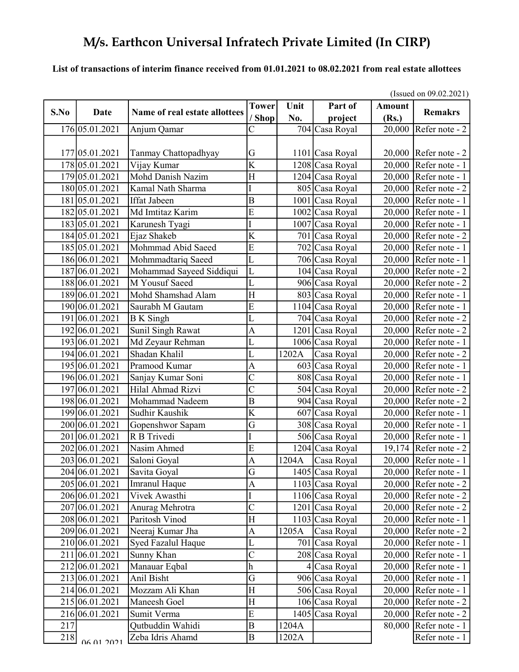#### List of transactions of interim finance received from 01.01.2021 to 08.02.2021 from real estate allottees

|      |                |                               |                         | (Issued on $09.02.2021$ ) |                    |                        |                                    |
|------|----------------|-------------------------------|-------------------------|---------------------------|--------------------|------------------------|------------------------------------|
| S.No | Date           | Name of real estate allottees | <b>Tower</b><br>' Shop  | Unit<br>No.               | Part of<br>project | <b>Amount</b><br>(Rs.) | <b>Remakrs</b>                     |
|      | 176 05.01.2021 | Anjum Qamar                   |                         |                           | 704 Casa Royal     |                        | 20,000 Refer note - 2              |
|      |                |                               |                         |                           |                    |                        |                                    |
|      | 177 05.01.2021 | Tanmay Chattopadhyay          | G                       |                           | 1101 Casa Royal    |                        | $20,000$ Refer note - 2            |
|      | 178 05.01.2021 | Vijay Kumar                   | $\overline{\mathrm{K}}$ |                           | 1208 Casa Royal    | 20,000                 | Refer note - 1                     |
|      | 179 05.01.2021 | <b>Mohd Danish Nazim</b>      | $\mathbf H$             |                           | 1204 Casa Royal    |                        | 20,000 Refer note - 1              |
|      | 180 05.01.2021 | Kamal Nath Sharma             | I                       |                           | 805 Casa Royal     | 20,000                 | Refer note - 2                     |
|      | 181 05.01.2021 | <b>Iffat Jabeen</b>           | $\overline{B}$          |                           | 1001 Casa Royal    |                        | 20,000 Refer note - 1              |
|      | 182 05.01.2021 | Md Imtitaz Karim              | E                       |                           | 1002 Casa Royal    |                        | 20,000 Refer note - 1              |
|      | 183 05.01.2021 | Karunesh Tyagi                |                         |                           | 1007 Casa Royal    | 20,000                 | Refer note - 1                     |
|      | 184 05.01.2021 | Ejaz Shakeb                   | K                       |                           | 701 Casa Royal     | 20,000                 | Refer note - 2                     |
|      | 185 05.01.2021 | Mohmmad Abid Saeed            | $\overline{E}$          |                           | 702 Casa Royal     | 20,000                 | Refer note - 1                     |
|      | 186 06.01.2021 | Mohmmadtariq Saeed            | $\overline{\text{L}}$   |                           | 706 Casa Royal     | 20,000                 | Refer note - 1                     |
|      | 187 06.01.2021 | Mohammad Sayeed Siddiqui      | L                       |                           | 104 Casa Royal     | 20,000                 | Refer note - 2                     |
|      | 188 06.01.2021 | M Yousuf Saeed                | L                       |                           | 906 Casa Royal     | 20,000                 | Refer note - 2                     |
|      | 189 06.01.2021 | Mohd Shamshad Alam            | H                       |                           | 803 Casa Royal     | 20,000                 | Refer note - 1                     |
|      | 190 06.01.2021 | Saurabh M Gautam              | E                       |                           | 1104 Casa Royal    | 20,000                 | Refer note - 1                     |
|      | 191 06.01.2021 | <b>B</b> K Singh              | L                       |                           | 704 Casa Royal     | 20,000                 | Refer note - 2                     |
|      | 192 06.01.2021 | Sunil Singh Rawat             | $\overline{A}$          |                           | 1201 Casa Royal    |                        | $20,000$ Refer note - 2            |
|      | 193 06.01.2021 | Md Zeyaur Rehman              | Ĺ                       |                           | 1006 Casa Royal    | 20,000                 | Refer note - 1                     |
|      | 194 06.01.2021 | Shadan Khalil                 | Ĺ                       | 1202A                     | Casa Royal         | 20,000                 | Refer note - 2                     |
|      | 195 06.01.2021 | Pramood Kumar                 | A                       |                           | 603 Casa Royal     |                        | 20,000 Refer note - 1              |
|      | 196 06.01.2021 | Sanjay Kumar Soni             | $\overline{\text{C}}$   |                           | 808 Casa Royal     | 20,000                 | Refer note - 1                     |
|      | 197 06.01.2021 | Hilal Ahmad Rizvi             | $\overline{\text{C}}$   |                           | 504 Casa Royal     | 20,000                 | Refer note - 2                     |
|      | 198 06.01.2021 | Mohammad Nadeem               | $\boldsymbol{B}$        |                           | 904 Casa Royal     | 20,000                 | Refer note - 2                     |
|      | 199 06.01.2021 | Sudhir Kaushik                | $\overline{\rm K}$      |                           | 607 Casa Royal     | 20,000                 | Refer note - 1                     |
|      | 200 06.01.2021 | Gopenshwor Sapam              | G                       |                           | 308 Casa Royal     | 20,000                 | Refer note - 1                     |
|      | 201 06.01.2021 | R B Trivedi                   | I                       |                           | 506 Casa Royal     | 20,000                 | Refer note - 1                     |
|      | 202 06.01.2021 | Nasim Ahmed                   | E                       |                           | 1204 Casa Royal    | 19,174                 | Refer note - 2                     |
|      | 203 06.01.2021 | Saloni Goyal                  | $\overline{A}$          | 1204A                     | Casa Royal         | 20,000                 | Refer note - 1                     |
|      | 204 06.01.2021 | Savita Goyal                  | $\overline{G}$          |                           | 1405 Casa Royal    |                        | 20,000   Refer note - 1            |
|      | 205 06.01.2021 | Imranul Haque                 | A                       |                           | 1103 Casa Royal    |                        | $20,000$ Refer note - 2            |
|      | 206 06.01.2021 | Vivek Awasthi                 | Ι                       |                           | 1106 Casa Royal    |                        | $20,000$ Refer note - 2            |
|      | 207 06.01.2021 | Anurag Mehrotra               | $\overline{C}$          |                           | 1201 Casa Royal    |                        | $20,000$ Refer note - 2            |
|      | 208 06.01.2021 | Paritosh Vinod                | $\mathbf H$             |                           | 1103 Casa Royal    |                        | 20,000 Refer note - 1              |
|      | 209 06.01.2021 | Neeraj Kumar Jha              | A                       | 1205A                     | Casa Royal         |                        | $20,000$ Refer note - 2            |
|      | 210 06.01.2021 | Syed Fazalul Haque            | L                       |                           | 701 Casa Royal     |                        | $20,000$ Refer note - 1            |
|      | 211 06.01.2021 | Sunny Khan                    | $\overline{\text{C}}$   |                           | 208 Casa Royal     |                        | 20,000 Refer note - 1              |
|      | 212 06.01.2021 | Manauar Eqbal                 | h                       |                           | 4 Casa Royal       |                        | $\overline{20,000}$ Refer note - 1 |
|      | 213 06.01.2021 | Anil Bisht                    | G                       |                           | 906 Casa Royal     | 20,000                 | Refer note - 1                     |
|      | 214 06.01.2021 | Mozzam Ali Khan               | H                       |                           | 506 Casa Royal     |                        | 20,000 Refer note - 1              |
|      | 215 06.01.2021 | Maneesh Goel                  | H                       |                           | 106 Casa Royal     |                        | $20,000$ Refer note - 2            |
|      | 216 06.01.2021 | Sumit Verma                   | E                       |                           | 1405 Casa Royal    | 20,000                 | Refer note - 2                     |
| 217  |                | Qutbuddin Wahidi              | B                       | 1204A                     |                    | 80,000                 | Refer note - 1                     |
| 218  | 06.01.2021     | Zeba Idris Ahamd              | $\, {\bf B}$            | 1202A                     |                    |                        | Refer note - 1                     |

 $\frac{1}{2}$  on 09.02.2021)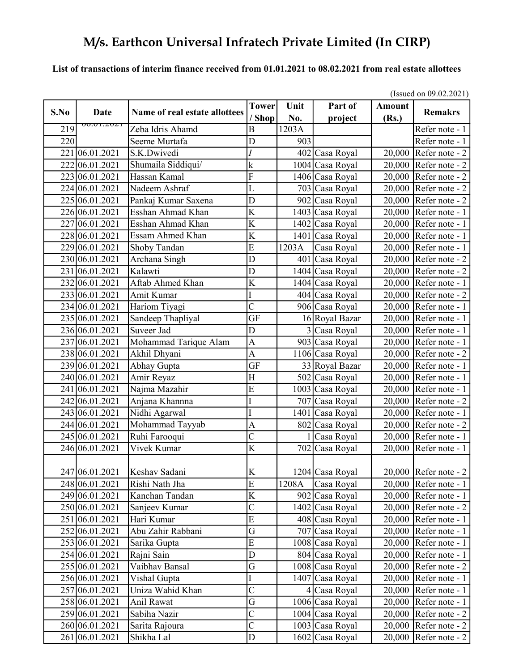#### List of transactions of interim finance received from 01.01.2021 to 08.02.2021 from real estate allottees

|      |                |                                | (Issued on $09.02.2021$ ) |       |                 |               |                                    |  |  |
|------|----------------|--------------------------------|---------------------------|-------|-----------------|---------------|------------------------------------|--|--|
| S.No | Date           | Name of real estate allottees  | <b>Tower</b>              | Unit  | Part of         | <b>Amount</b> | <b>Remakrs</b>                     |  |  |
|      | 00.01.2021     |                                | / Shop                    | No.   | project         | (Rs.)         |                                    |  |  |
| 219  |                | Zeba Idris Ahamd               | B                         | 1203A |                 |               | Refer note - 1                     |  |  |
| 220  |                | Seeme Murtafa                  | D                         | 903   |                 |               | Refer note - 1                     |  |  |
|      | 221 06.01.2021 | S.K.Dwivedi                    | I                         |       | 402 Casa Royal  | 20,000        | Refer note - 2                     |  |  |
|      | 222 06.01.2021 | Shumaila Siddiqui/             | $\mathbf k$               |       | 1004 Casa Royal | 20,000        | Refer note - 2                     |  |  |
|      | 223 06.01.2021 | Hassan Kamal                   | $\overline{\mathrm{F}}$   |       | 1406 Casa Royal | 20,000        | Refer note - 2                     |  |  |
|      | 224 06.01.2021 | Nadeem Ashraf                  | L                         |       | 703 Casa Royal  | 20,000        | Refer note - 2                     |  |  |
|      | 225 06.01.2021 | Pankaj Kumar Saxena            | D                         |       | 902 Casa Royal  | 20,000        | Refer note - 2                     |  |  |
|      | 226 06.01.2021 | Esshan Ahmad Khan              | $\overline{\mathrm{K}}$   |       | 1403 Casa Royal | 20,000        | Refer note - 1                     |  |  |
|      | 227 06.01.2021 | Esshan Ahmad Khan              | K                         |       | 1402 Casa Royal | 20,000        | Refer note - 1                     |  |  |
|      | 228 06.01.2021 | Essam Ahmed Khan               | $\bf K$                   |       | 1401 Casa Royal | 20,000        | Refer note - 1                     |  |  |
|      | 229 06.01.2021 | Shoby Tandan                   | E                         | 1203A | Casa Royal      | 20,000        | Refer note - 1                     |  |  |
|      | 230 06.01.2021 | Archana Singh                  | D                         |       | 401 Casa Royal  | 20,000        | Refer note - 2                     |  |  |
|      | 231 06.01.2021 | Kalawti                        | D                         |       | 1404 Casa Royal | 20,000        | Refer note - 2                     |  |  |
|      | 232 06.01.2021 | Aftab Ahmed Khan               | K                         |       | 1404 Casa Royal | 20,000        | Refer note - 1                     |  |  |
|      | 233 06.01.2021 | Amit Kumar                     | I                         |       | 404 Casa Royal  | 20,000        | Refer note - 2                     |  |  |
|      | 234 06.01.2021 | Hariom Tiyagi                  | $\overline{\text{C}}$     |       | 906 Casa Royal  | 20,000        | Refer note - 1                     |  |  |
|      | 235 06.01.2021 | Sandeep Thapliyal              | <b>GF</b>                 |       | 16 Royal Bazar  | 20,000        | Refer note - 1                     |  |  |
|      | 236 06.01.2021 | Suveer Jad                     | D                         |       | 3 Casa Royal    | 20,000        | Refer note - 1                     |  |  |
|      | 237 06.01.2021 | Mohammad Tarique Alam          | $\overline{A}$            |       | 903 Casa Royal  | 20,000        | Refer note - 1                     |  |  |
|      | 238 06.01.2021 | Akhil Dhyani                   | $\overline{A}$            |       | 1106 Casa Royal | 20,000        | Refer note - 2                     |  |  |
|      | 239 06.01.2021 | Abhay Gupta                    | <b>GF</b>                 |       | 33 Royal Bazar  | 20,000        | Refer note - 1                     |  |  |
|      | 240 06.01.2021 | Amir Reyaz                     | $\overline{H}$            |       | 502 Casa Royal  | 20,000        | Refer note - 1                     |  |  |
|      | 241 06.01.2021 | Najma Mazahir                  | $\overline{E}$            | 1003  | Casa Royal      | 20,000        | Refer note - 1                     |  |  |
|      | 242 06.01.2021 | Anjana Khannna                 | I                         |       | 707 Casa Royal  | 20,000        | $\sqrt{\text{Refer}}$ note - 2     |  |  |
|      | 243 06.01.2021 | Nidhi Agarwal                  | I                         |       | 1401 Casa Royal | 20,000        | Refer note - 1                     |  |  |
|      | 244 06.01.2021 | Mohammad Tayyab                | $\overline{A}$            |       | 802 Casa Royal  | 20,000        | Refer note - 2                     |  |  |
|      | 245 06.01.2021 | Ruhi Farooqui                  | $\overline{\rm C}$        |       | 1 Casa Royal    | 20,000        | Refer note - 1                     |  |  |
|      | 246 06.01.2021 | Vivek Kumar                    | K                         |       | 702 Casa Royal  | 20,000        | Refer note - 1                     |  |  |
|      |                |                                |                           |       |                 |               |                                    |  |  |
|      |                | 247 06.01.2021   Keshav Sadani | K                         |       | 1204 Casa Royal |               | 20,000   Refer note - 2            |  |  |
|      | 248 06.01.2021 | Rishi Nath Jha                 | E                         | 1208A | Casa Royal      |               | 20,000   Refer note - $1$          |  |  |
|      | 249 06.01.2021 | Kanchan Tandan                 | $\rm K$                   |       | 902 Casa Royal  |               | $20,000$ Refer note - 1            |  |  |
|      | 250 06.01.2021 | Sanjeev Kumar                  | $\overline{\text{C}}$     |       | 1402 Casa Royal |               | $20,000$ Refer note - 2            |  |  |
|      | 251 06.01.2021 | Hari Kumar                     | E                         |       | 408 Casa Royal  |               | 20,000 Refer note - 1              |  |  |
|      | 252 06.01.2021 | Abu Zahir Rabbani              | $\overline{G}$            |       | 707 Casa Royal  |               | 20,000 Refer note - 1              |  |  |
|      | 253 06.01.2021 | Sarika Gupta                   | $\overline{E}$            |       | 1008 Casa Royal |               | 20,000 Refer note - 1              |  |  |
|      | 254 06.01.2021 | Rajni Sain                     | $\mathbf D$               |       | 804 Casa Royal  |               | $\overline{20,000}$ Refer note - 1 |  |  |
|      | 255 06.01.2021 | Vaibhav Bansal                 | G                         |       | 1008 Casa Royal |               | $20,000$ Refer note - 2            |  |  |
|      | 256 06.01.2021 | Vishal Gupta                   | I                         |       | 1407 Casa Royal | 20,000        | Refer note - 1                     |  |  |
|      | 257 06.01.2021 | Uniza Wahid Khan               | $\overline{\text{C}}$     |       | 4 Casa Royal    | 20,000        | Refer note - 1                     |  |  |
|      | 258 06.01.2021 | Anil Rawat                     | G                         |       | 1006 Casa Royal | 20,000        | Refer note - 1                     |  |  |
|      | 259 06.01.2021 | Sabiha Nazir                   | $\mathsf{C}$              |       | 1004 Casa Royal |               | 20,000 Refer note - $2$            |  |  |
|      | 260 06.01.2021 | Sarita Rajoura                 | $\mathsf{C}$              |       | 1003 Casa Royal |               | 20,000 Refer note - $2$            |  |  |
|      | 261 06.01.2021 | Shikha Lal                     | D                         |       | 1602 Casa Royal | 20,000        | Refer note - $2$                   |  |  |
|      |                |                                |                           |       |                 |               |                                    |  |  |

(Issued on 09.02.2021)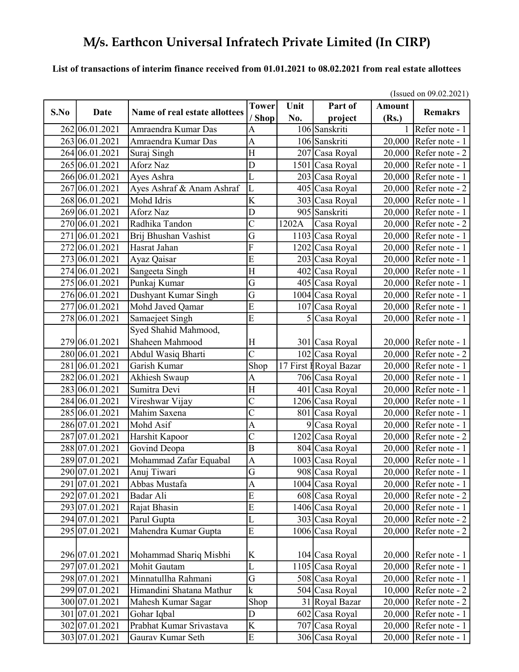#### List of transactions of interim finance received from 01.01.2021 to 08.02.2021 from real estate allottees

|      |                |                               | (Issued on $09.02.2021$ ) |       |                        |               |                                    |  |
|------|----------------|-------------------------------|---------------------------|-------|------------------------|---------------|------------------------------------|--|
| S.No | Date           | Name of real estate allottees | <b>Tower</b>              | Unit  | Part of                | <b>Amount</b> | <b>Remakrs</b>                     |  |
|      |                |                               | / Shop                    | No.   | project                | (Rs.)         |                                    |  |
|      | 262 06.01.2021 | Amraendra Kumar Das           | Α                         |       | 106 Sanskriti          |               | Refer note - 1                     |  |
|      | 263 06.01.2021 | Amraendra Kumar Das           | A                         |       | 106 Sanskriti          | 20,000        | Refer note - 1                     |  |
|      | 264 06.01.2021 | Suraj Singh                   | H                         |       | 207 Casa Royal         | 20,000        | Refer note - 2                     |  |
|      | 265 06.01.2021 | Aforz Naz                     | D                         | 1501  | Casa Royal             | 20,000        | Refer note - 1                     |  |
|      | 266 06.01.2021 | Ayes Ashra                    | L                         |       | 203 Casa Royal         | 20,000        | Refer note - 1                     |  |
|      | 267 06.01.2021 | Ayes Ashraf & Anam Ashraf     | $\overline{\text{L}}$     |       | 405 Casa Royal         | 20,000        | Refer note - 2                     |  |
|      | 268 06.01.2021 | Mohd Idris                    | $\overline{\mathrm{K}}$   |       | 303 Casa Royal         | 20,000        | Refer note - 1                     |  |
|      | 269 06.01.2021 | Aforz Naz                     | D                         |       | 905 Sanskriti          | 20,000        | Refer note - 1                     |  |
|      | 270 06.01.2021 | Radhika Tandon                | $\overline{\rm C}$        | 1202A | Casa Royal             | 20,000        | Refer note - 2                     |  |
| 271  | 06.01.2021     | Brij Bhushan Vashist          | $\overline{G}$            |       | 1103 Casa Royal        | 20,000        | Refer note - 1                     |  |
| 272  | 06.01.2021     | Hasrat Jahan                  | $\overline{\mathrm{F}}$   |       | 1202 Casa Royal        | 20,000        | Refer note - 1                     |  |
|      | 273 06.01.2021 | Ayaz Qaisar                   | $\overline{E}$            |       | 203 Casa Royal         | 20,000        | Refer note - 1                     |  |
|      | 274 06.01.2021 | Sangeeta Singh                | $\overline{H}$            |       | 402 Casa Royal         | 20,000        | Refer note - 1                     |  |
|      | 275 06.01.2021 | Punkaj Kumar                  | G                         |       | 405 Casa Royal         | 20,000        | Refer note - 1                     |  |
|      | 276 06.01.2021 | Dushyant Kumar Singh          | G                         |       | 1004 Casa Royal        | 20,000        | Refer note - 1                     |  |
| 277  | 06.01.2021     | Mohd Javed Qamar              | $\overline{E}$            |       | 107 Casa Royal         | 20,000        | Refer note - 1                     |  |
|      | 278 06.01.2021 | Samaejeet Singh               | $\overline{E}$            |       | 5 Casa Royal           | 20,000        | Refer note - 1                     |  |
|      |                | Syed Shahid Mahmood,          |                           |       |                        |               |                                    |  |
|      | 279 06.01.2021 | Shaheen Mahmood               | Η                         |       | 301 Casa Royal         |               | 20,000 Refer note - 1              |  |
|      | 280 06.01.2021 | Abdul Wasiq Bharti            | $\overline{\text{C}}$     |       | 102 Casa Royal         |               | 20,000 Refer note - 2              |  |
|      | 281 06.01.2021 | Garish Kumar                  | Shop                      |       | 17 First I Royal Bazar |               | 20,000 Refer note - 1              |  |
|      | 282 06.01.2021 | Akhiesh Swaup                 | $\boldsymbol{A}$          |       | 706 Casa Royal         | 20,000        | Refer note - 1                     |  |
|      | 283 06.01.2021 | Sumitra Devi                  | H                         |       | 401 Casa Royal         | 20,000        | Refer note - 1                     |  |
|      | 284 06.01.2021 | Vireshwar Vijay               | $\overline{\text{C}}$     |       | 1206 Casa Royal        | 20,000        | Refer note - 1                     |  |
|      | 285 06.01.2021 | Mahim Saxena                  | $\overline{\rm C}$        |       | 801 Casa Royal         | 20,000        | Refer note - 1                     |  |
|      | 286 07.01.2021 | Mohd Asif                     | A                         |       | 9 Casa Royal           | 20,000        | Refer note - 1                     |  |
| 287  | [07.01.2021]   | Harshit Kapoor                | $\overline{C}$            |       | 1202 Casa Royal        | 20,000        | Refer note - 2                     |  |
|      | 288 07.01.2021 | Govind Deopa                  | $\overline{B}$            |       | 804 Casa Royal         | 20,000        | Refer note - 1                     |  |
|      | 289 07.01.2021 | Mohammad Zafar Equabal        | $\mathbf{A}$              |       | 1003 Casa Royal        | 20,000        | Refer note - 1                     |  |
|      | 290 07.01.2021 | Anuj Tiwari                   | $\overline{G}$            |       | 908 Casa Royal         |               | 20,000 Refer note - $1$            |  |
|      | 291 07.01.2021 | Abbas Mustafa                 | $\boldsymbol{A}$          |       | 1004 Casa Royal        |               | 20,000   Refer note - 1            |  |
|      | 292 07.01.2021 | Badar Ali                     | E                         |       | 608 Casa Royal         |               | 20,000 Refer note - $2$            |  |
|      | 293 07.01.2021 | Rajat Bhasin                  | E                         |       | 1406 Casa Royal        |               | 20,000 Refer note - 1              |  |
|      | 294 07.01.2021 | Parul Gupta                   | $\overline{\text{L}}$     |       | 303 Casa Royal         |               | 20,000 Refer note - $2$            |  |
|      | 295 07.01.2021 | Mahendra Kumar Gupta          | E                         |       | 1006 Casa Royal        | 20,000        | Refer note - 2                     |  |
|      |                |                               |                           |       |                        |               |                                    |  |
|      | 296 07.01.2021 | Mohammad Shariq Misbhi        | K                         |       | 104 Casa Royal         |               | $20,000$ Refer note - 1            |  |
|      | 297 07.01.2021 | Mohit Gautam                  | $\overline{L}$            |       | 1105 Casa Royal        |               | $20,000$ Refer note - 1            |  |
|      | 298 07.01.2021 | Minnatullha Rahmani           | G                         |       | 508 Casa Royal         | 20,000        | Refer note - 1                     |  |
|      | 299 07.01.2021 | Himandini Shatana Mathur      | $\mathbf k$               |       | 504 Casa Royal         | 10,000        | Refer note $-2$                    |  |
|      | 300 07.01.2021 | Mahesh Kumar Sagar            | Shop                      |       | 31 Royal Bazar         |               | 20,000 Refer note - $2$            |  |
|      | 301 07.01.2021 | Gohar Iqbal                   | D                         |       | 602 Casa Royal         |               | $20,000$ Refer note - 1            |  |
|      | 302 07.01.2021 | Prabhat Kumar Srivastava      | K                         |       | 707 Casa Royal         |               | $\overline{20,000}$ Refer note - 1 |  |
|      | 303 07.01.2021 | Gaurav Kumar Seth             | E                         |       | 306 Casa Royal         |               | 20,000 Refer note - 1              |  |

 $(I_{\text{S}} = 1.00022021)$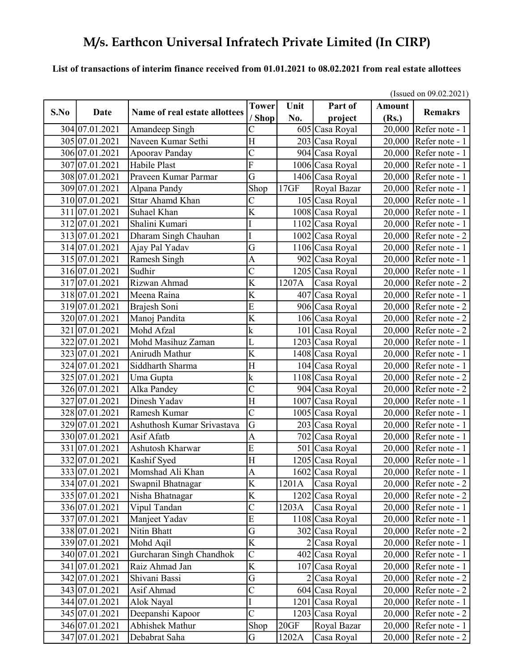#### List of transactions of interim finance received from 01.01.2021 to 08.02.2021 from real estate allottees

|      |                |                               | (Issued on $09.02.2021$ ) |       |                 |               |                         |  |  |
|------|----------------|-------------------------------|---------------------------|-------|-----------------|---------------|-------------------------|--|--|
| S.No | Date           | Name of real estate allottees | <b>Tower</b>              | Unit  | Part of         | <b>Amount</b> | <b>Remakrs</b>          |  |  |
|      |                |                               | / Shop                    | No.   | project         | (Rs.)         |                         |  |  |
|      | 304 07.01.2021 | Amandeep Singh                | C                         |       | 605 Casa Royal  | 20,000        | Refer note - 1          |  |  |
|      | 305 07.01.2021 | Naveen Kumar Sethi            | $\overline{H}$            |       | 203 Casa Royal  |               | 20,000 Refer note - 1   |  |  |
|      | 306 07.01.2021 | Apoorav Panday                | $\overline{C}$            |       | 904 Casa Royal  |               | 20,000 Refer note - 1   |  |  |
|      | 307 07.01.2021 | Habile Plast                  | F                         |       | 1006 Casa Royal | 20,000        | Refer note - 1          |  |  |
|      | 308 07.01.2021 | Praveen Kumar Parmar          | G                         |       | 1406 Casa Royal | 20,000        | Refer note - 1          |  |  |
|      | 309 07.01.2021 | Alpana Pandy                  | Shop                      | 17GF  | Royal Bazar     | 20,000        | Refer note - 1          |  |  |
|      | 310 07.01.2021 | <b>Sttar Ahamd Khan</b>       | $\mathsf C$               |       | 105 Casa Royal  | 20,000        | Refer note - 1          |  |  |
|      | 311 07.01.2021 | Suhael Khan                   | $\overline{\mathrm{K}}$   |       | 1008 Casa Royal | 20,000        | Refer note - 1          |  |  |
|      | 312 07.01.2021 | Shalini Kumari                | I                         |       | 1102 Casa Royal |               | 20,000 Refer note - 1   |  |  |
|      | 313 07.01.2021 | Dharam Singh Chauhan          | I                         |       | 1002 Casa Royal | 20,000        | Refer note - 2          |  |  |
|      | 314 07.01.2021 | Ajay Pal Yadav                | G                         |       | 1106 Casa Royal | 20,000        | Refer note - 1          |  |  |
|      | 315 07.01.2021 | Ramesh Singh                  | $\overline{A}$            |       | 902 Casa Royal  | 20,000        | Refer note - 1          |  |  |
|      | 316 07.01.2021 | Sudhir                        | $\overline{\text{C}}$     |       | 1205 Casa Royal | 20,000        | Refer note - 1          |  |  |
|      | 317 07.01.2021 | Rizwan Ahmad                  | K                         | 1207A | Casa Royal      | 20,000        | Refer note - 2          |  |  |
|      | 318 07.01.2021 | Meena Raina                   | $\overline{\mathrm{K}}$   |       | 407 Casa Royal  | 20,000        | Refer note - 1          |  |  |
|      | 319 07.01.2021 | Brajesh Soni                  | E                         |       | 906 Casa Royal  | 20,000        | Refer note - 2          |  |  |
|      | 320 07.01.2021 | Manoj Pandita                 | K                         |       | 106 Casa Royal  | 20,000        | Refer note - 2          |  |  |
|      | 321 07.01.2021 | Mohd Afzal                    | k                         |       | 101 Casa Royal  | 20,000        | Refer note - 2          |  |  |
|      | 322 07.01.2021 | Mohd Masihuz Zaman            | L                         |       | 1203 Casa Royal | 20,000        | Refer note - 1          |  |  |
|      | 323 07.01.2021 | Anirudh Mathur                | K                         |       | 1408 Casa Royal | 20,000        | Refer note - 1          |  |  |
|      | 324 07.01.2021 | Siddharth Sharma              | H                         |       | 104 Casa Royal  | 20,000        | Refer note - 1          |  |  |
|      | 325 07.01.2021 | Uma Gupta                     | $\mathbf k$               |       | 1108 Casa Royal |               | 20,000 Refer note - 2   |  |  |
|      | 326 07.01.2021 | Alka Pandey                   | $\overline{C}$            |       | 904 Casa Royal  | 20,000        | Refer note - 2          |  |  |
|      | 327 07.01.2021 | Dinesh Yadav                  | $\overline{\mathrm{H}}$   |       | 1007 Casa Royal | 20,000        | Refer note - 1          |  |  |
|      | 328 07.01.2021 | Ramesh Kumar                  | $\overline{C}$            |       | 1005 Casa Royal | 20,000        | Refer note - 1          |  |  |
|      | 329 07.01.2021 | Ashuthosh Kumar Srivastava    | $\overline{G}$            |       | 203 Casa Royal  | 20,000        | Refer note - 1          |  |  |
|      | 330 07.01.2021 | Asif Afatb                    | $\overline{A}$            |       | 702 Casa Royal  | 20,000        | Refer note - 1          |  |  |
|      | 331 07.01.2021 | Ashutosh Kharwar              | E                         |       | 501 Casa Royal  | 20,000        | Refer note - 1          |  |  |
|      | 332 07.01.2021 | Kashif Syed                   | $\overline{H}$            |       | 1205 Casa Royal | 20,000        | Refer note - 1          |  |  |
|      | 333 07.01.2021 | Momshad Ali Khan              | A                         |       | 1602 Casa Royal |               | 20,000 Refer note - 1   |  |  |
|      | 334 07.01.2021 | Swapnil Bhatnagar             | K                         | 1201A | Casa Royal      |               | $20,000$ Refer note - 2 |  |  |
|      | 335 07.01.2021 | Nisha Bhatnagar               | K                         |       | 1202 Casa Royal |               | 20,000 Refer note - 2   |  |  |
|      | 336 07.01.2021 | Vipul Tandan                  | $\mathsf{C}$              | 1203A | Casa Royal      |               | 20,000 Refer note - 1   |  |  |
|      | 337 07.01.2021 | Manjeet Yadav                 | ${\bf E}$                 |       | 1108 Casa Royal |               | 20,000 Refer note - 1   |  |  |
|      | 338 07.01.2021 | Nitin Bhatt                   | G                         |       | 302 Casa Royal  |               | $20,000$ Refer note - 2 |  |  |
|      | 339 07.01.2021 | Mohd Aqil                     | $\overline{\mathbf{K}}$   |       | 2 Casa Royal    |               | 20,000 Refer note - 1   |  |  |
|      | 340 07.01.2021 | Gurcharan Singh Chandhok      | $\mathsf{C}$              |       | 402 Casa Royal  |               | $20,000$ Refer note - 1 |  |  |
|      | 341 07.01.2021 | Raiz Ahmad Jan                | K                         |       | 107 Casa Royal  |               | 20,000 Refer note - 1   |  |  |
|      | 342 07.01.2021 | Shivani Bassi                 | G                         |       | 2 Casa Royal    |               | $20,000$ Refer note - 2 |  |  |
|      | 343 07.01.2021 | Asif Ahmad                    | $\overline{\text{C}}$     |       | 604 Casa Royal  | 20,000        | Refer note - 2          |  |  |
|      | 344 07.01.2021 | Alok Nayal                    | I                         |       | 1201 Casa Royal | 20,000        | Refer note - 1          |  |  |
|      | 345 07.01.2021 | Deepanshi Kapoor              | $\overline{C}$            |       | 1203 Casa Royal |               | 20,000 Refer note - 2   |  |  |
|      | 346 07.01.2021 | Abhishek Mathur               | Shop                      | 20GF  | Royal Bazar     |               | $20,000$ Refer note - 1 |  |  |
|      | 347 07.01.2021 | Debabrat Saha                 | ${\bf G}$                 | 1202A | Casa Royal      |               | 20,000 Refer note - 2   |  |  |

(Issued on 09.02.2021)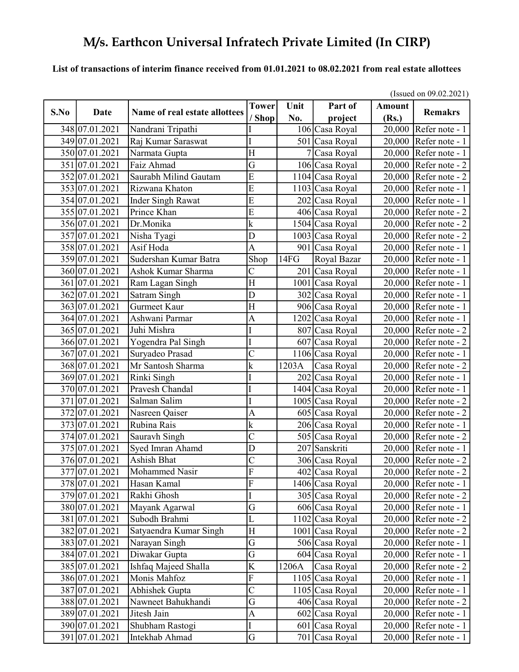### List of transactions of interim finance received from 01.01.2021 to 08.02.2021 from real estate allottees

|      |                                               |                                         | (Issued on $09.02.2021$ ) |       |                 |               |                         |  |
|------|-----------------------------------------------|-----------------------------------------|---------------------------|-------|-----------------|---------------|-------------------------|--|
| S.No | Date                                          | Name of real estate allottees           | <b>Tower</b>              | Unit  | Part of         | <b>Amount</b> | <b>Remakrs</b>          |  |
|      |                                               |                                         | ' Shop                    | No.   | project         | (Rs.)         |                         |  |
|      | 348 07.01.2021                                | Nandrani Tripathi                       |                           |       | 106 Casa Royal  |               | 20,000 Refer note - 1   |  |
|      | 349 07.01.2021                                | Raj Kumar Saraswat                      |                           |       | 501 Casa Royal  |               | 20,000 Refer note - 1   |  |
|      | 350 07.01.2021                                | Narmata Gupta                           | H                         |       | Casa Royal      | 20,000        | Refer note - 1          |  |
|      | 351 07.01.2021<br>$\overline{352}$ 07.01.2021 | Faiz Ahmad<br>Saurabh Milind Gautam     | G<br>$\overline{E}$       |       | 106 Casa Royal  | 20,000        | Refer note - 2          |  |
|      | 353 07.01.2021                                |                                         | $\overline{E}$            |       | 1104 Casa Royal | 20,000        | Refer note - 2          |  |
|      |                                               | Rizwana Khaton                          | $\overline{E}$            |       | 1103 Casa Royal |               | $20,000$ Refer note - 1 |  |
|      | 354 07.01.2021<br>355 07.01.2021              | <b>Inder Singh Rawat</b><br>Prince Khan | $\overline{\mathrm{E}}$   |       | 202 Casa Royal  | 20,000        | Refer note - 1          |  |
|      |                                               |                                         |                           |       | 406 Casa Royal  |               | $20,000$ Refer note - 2 |  |
|      | 356 07.01.2021                                | Dr.Monika                               | k                         |       | 1504 Casa Royal | 20,000        | Refer note - 2          |  |
|      | 357 07.01.2021                                | Nisha Tyagi                             | D                         |       | 1003 Casa Royal | 20,000        | Refer note - 2          |  |
|      | 358 07.01.2021                                | Asif Hoda                               | $\overline{A}$            |       | 901 Casa Royal  | 20,000        | Refer note - 1          |  |
|      | 359 07.01.2021                                | Sudershan Kumar Batra                   | Shop                      | 14FG  | Royal Bazar     | 20,000        | Refer note - 1          |  |
|      | 360 07.01.2021                                | Ashok Kumar Sharma                      | C                         |       | 201 Casa Royal  | 20,000        | Refer note - 1          |  |
|      | 361 07.01.2021                                | Ram Lagan Singh                         | H                         |       | 1001 Casa Royal |               | $20,000$ Refer note - 1 |  |
|      | 362 07.01.2021                                | Satram Singh                            | D                         |       | 302 Casa Royal  |               | $20,000$ Refer note - 1 |  |
|      | 363 07.01.2021                                | $\overline{\text{Gurneet K}}$ aur       | H                         |       | 906 Casa Royal  | 20,000        | Refer note - 1          |  |
|      | 364 07.01.2021                                | Ashwani Parmar                          | $\overline{A}$            |       | 1202 Casa Royal | 20,000        | Refer note - 1          |  |
|      | 365 07.01.2021                                | Juhi Mishra                             | I                         |       | 807 Casa Royal  |               | $20,000$ Refer note - 2 |  |
|      | 366 07.01.2021                                | Yogendra Pal Singh                      | I                         |       | 607 Casa Royal  | 20,000        | Refer note - 2          |  |
|      | 367 07.01.2021                                | Suryadeo Prasad                         | $\overline{\rm C}$        |       | 1106 Casa Royal | 20,000        | Refer note - 1          |  |
|      | 368 07.01.2021                                | Mr Santosh Sharma                       | k                         | 1203A | Casa Royal      |               | 20,000 Refer note - 2   |  |
|      | 369 07.01.2021                                | Rinki Singh                             |                           |       | 202 Casa Royal  | 20,000        | Refer note - 1          |  |
|      | 370 07.01.2021                                | Pravesh Chandal                         |                           |       | 1404 Casa Royal | 20,000        | Refer note - 1          |  |
|      | 371 07.01.2021                                | Salman Salim                            | I                         |       | 1005 Casa Royal | 20,000        | Refer note - 2          |  |
|      | 372 07.01.2021                                | Nasreen Qaiser                          | $\mathbf{A}$              |       | 605 Casa Royal  | 20,000        | Refer note - 2          |  |
|      | 373 07.01.2021                                | Rubina Rais                             | k                         |       | 206 Casa Royal  | 20,000        | Refer note - 1          |  |
|      | 374 07.01.2021                                | Sauravh Singh                           | $\overline{C}$            |       | 505 Casa Royal  |               | 20,000 Refer note - 2   |  |
|      | 375 07.01.2021                                | Syed Imran Ahamd                        | D                         |       | 207 Sanskriti   | 20,000        | Refer note - 1          |  |
|      | 376 07.01.2021                                | Ashish Bhat                             | $\overline{\rm C}$        |       | 306 Casa Royal  | 20,000        | Refer note - 2          |  |
|      | 377 07.01.2021                                | Mohammed Nasir                          | $\overline{\mathrm{F}}$   |       | 402 Casa Royal  |               | 20,000 Refer note - $2$ |  |
|      | 378 07.01.2021                                | Hasan Kamal                             | $\overline{F}$            |       | 1406 Casa Royal |               | $20,000$ Refer note - 1 |  |
|      | 379 07.01.2021                                | Rakhi Ghosh                             | I                         |       | 305 Casa Royal  |               | $20,000$ Refer note - 2 |  |
|      | 380 07.01.2021                                | Mayank Agarwal                          | G                         |       | 606 Casa Royal  |               | 20,000 Refer note - 1   |  |
|      | 381 07.01.2021                                | Subodh Brahmi                           | L                         |       | 1102 Casa Royal |               | 20,000 Refer note - 2   |  |
|      | 382 07.01.2021                                | Satyaendra Kumar Singh                  | H                         |       | 1001 Casa Royal |               | $20,000$ Refer note - 2 |  |
|      | 383 07.01.2021                                | Narayan Singh                           | G                         |       | 506 Casa Royal  |               | $20,000$ Refer note - 1 |  |
|      | 384 07.01.2021                                | Diwakar Gupta                           | G                         |       | 604 Casa Royal  |               | 20,000 Refer note - 1   |  |
|      | 385 07.01.2021                                | Ishfaq Majeed Shalla                    | $\overline{\text{K}}$     | 1206A | Casa Royal      |               | $20,000$ Refer note - 2 |  |
|      | 386 07.01.2021                                | Monis Mahfoz                            | ${\bf F}$                 |       | 1105 Casa Royal | 20,000        | Refer note - 1          |  |
|      | 387 07.01.2021                                | Abhishek Gupta                          | $\overline{\mathrm{C}}$   |       | 1105 Casa Royal |               | 20,000 Refer note - 1   |  |
|      | 388 07.01.2021                                | Nawneet Bahukhandi                      | G                         |       | 406 Casa Royal  | 20,000        | Refer note - 2          |  |
|      | 389 07.01.2021                                | Jitesh Jain                             | A                         |       | 602 Casa Royal  | 20,000        | Refer note - 1          |  |
|      | 390 07.01.2021                                | Shubham Rastogi                         | I                         |       | 601 Casa Royal  |               | $20,000$ Refer note - 1 |  |
|      | 391 07.01.2021                                | Intekhab Ahmad                          | G                         |       | 701 Casa Royal  | 20,000        | Refer note - 1          |  |

 $(1, 90.02.2021)$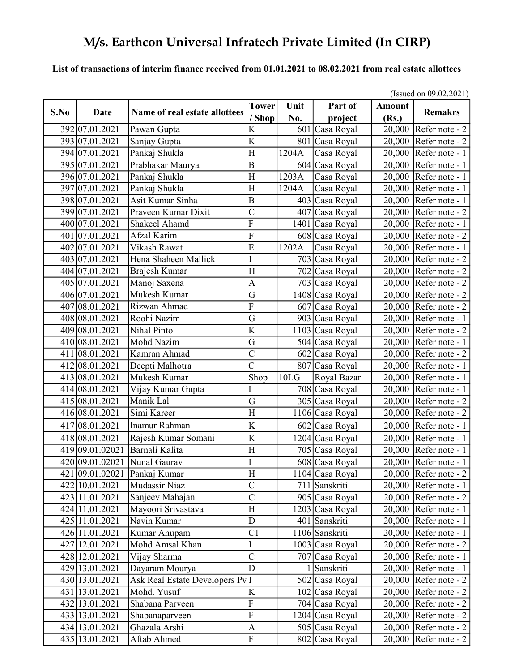#### List of transactions of interim finance received from 01.01.2021 to 08.02.2021 from real estate allottees

|      |                              |                                              | (Issued on $09.02.2021$ ) |       |                 |               |                         |  |
|------|------------------------------|----------------------------------------------|---------------------------|-------|-----------------|---------------|-------------------------|--|
| S.No | Date                         | Name of real estate allottees                | <b>Tower</b>              | Unit  | Part of         | <b>Amount</b> | <b>Remakrs</b>          |  |
|      |                              |                                              | / Shop                    | No.   | project         | (Rs.)         |                         |  |
|      | 392 07.01.2021               | Pawan Gupta                                  | K                         |       | 601 Casa Royal  |               | $20,000$ Refer note - 2 |  |
|      | 393 07.01.2021               | Sanjay Gupta                                 | K                         |       | 801 Casa Royal  |               | $20,000$ Refer note - 2 |  |
|      | 394 07.01.2021               | Pankaj Shukla                                | H                         | 1204A | Casa Royal      |               | 20,000 Refer note - 1   |  |
|      | 395 07.01.2021               | Prabhakar Maurya                             | $\overline{B}$            |       | 604 Casa Royal  | 20,000        | Refer note - 1          |  |
|      | 396 07.01.2021               | Pankaj Shukla                                | H                         | 1203A | Casa Royal      | 20,000        | Refer note - 1          |  |
|      | 397 07.01.2021               | Pankaj Shukla                                | H                         | 1204A | Casa Royal      | 20,000        | Refer note - 1          |  |
|      | 398 07.01.2021               | Asit Kumar Sinha                             | $\boldsymbol{B}$          | 403   | Casa Royal      | 20,000        | Refer note - 1          |  |
|      | 399 07.01.2021               | Praveen Kumar Dixit                          | $\overline{\rm C}$        |       | 407 Casa Royal  |               | $20,000$ Refer note - 2 |  |
|      | 400 07.01.2021               | Shakeel Ahamd                                | $\mathbf F$               |       | 1401 Casa Royal |               | $20,000$ Refer note - 1 |  |
|      | 401 07.01.2021               | Afzal Karim                                  | F                         |       | 608 Casa Royal  | 20,000        | Refer note - 2          |  |
|      | 402 07.01.2021               | Vikash Rawat                                 | E                         | 1202A | Casa Royal      | 20,000        | Refer note - 1          |  |
|      | 403 07.01.2021               | Hena Shaheen Mallick                         | I                         |       | 703 Casa Royal  |               | $20,000$ Refer note - 2 |  |
|      | 404 07.01.2021               | Brajesh Kumar                                | H                         |       | 702 Casa Royal  |               | $20,000$ Refer note - 2 |  |
|      | 405 07.01.2021               | Manoj Saxena                                 | $\mathbf{A}$              |       | 703 Casa Royal  |               | $20,000$ Refer note - 2 |  |
|      | 406 07.01.2021               | Mukesh Kumar                                 | $\overline{\mathrm{G}}$   |       | 1408 Casa Royal |               | $20,000$ Refer note - 2 |  |
|      | $\overline{407}$  08.01.2021 | Rizwan Ahmad                                 | $\overline{F}$            |       | 607 Casa Royal  |               | 20,000 Refer note - 2   |  |
|      | 408 08.01.2021               | Roohi Nazim                                  | G                         |       | 903 Casa Royal  | 20,000        | Refer note - 1          |  |
|      | 409 08.01.2021               | Nihal Pinto                                  | $\overline{\mathrm{K}}$   |       | 1103 Casa Royal | 20,000        | Refer note - 2          |  |
|      | 410 08.01.2021               | Mohd Nazim                                   | G                         |       | 504 Casa Royal  |               | 20,000 Refer note - 1   |  |
| 411  | 08.01.2021                   | Kamran Ahmad                                 | $\overline{\rm C}$        |       | 602 Casa Royal  | 20,000        | Refer note - 2          |  |
|      | 412 08.01.2021               | Deepti Malhotra                              | Ć                         |       | 807 Casa Royal  | 20,000        | Refer note - 1          |  |
|      | 413 08.01.2021               | Mukesh Kumar                                 | Shop                      | 10LG  | Royal Bazar     |               | 20,000 Refer note - 1   |  |
|      | 414 08.01.2021               | Vijay Kumar Gupta                            |                           |       | 708 Casa Royal  | 20,000        | Refer note - 1          |  |
|      | 415 08.01.2021               | Manik Lal                                    | G                         |       | 305 Casa Royal  | 20,000        | Refer note - 2          |  |
|      | 416 08.01.2021               | Simi Kareer                                  | H                         |       | 1106 Casa Royal | 20,000        | Refer note - 2          |  |
|      | 417 08.01.2021               | Inamur Rahman                                | K                         |       | 602 Casa Royal  |               | 20,000 Refer note - 1   |  |
|      | 418 08.01.2021               | Rajesh Kumar Somani                          | K                         |       | 1204 Casa Royal |               | 20,000 Refer note - 1   |  |
|      | 419 09.01.02021              | Barnali Kalita                               | $\overline{H}$            |       | 705 Casa Royal  | 20,000        | Refer note - 1          |  |
|      | 420 09.01.02021              | Nunal Gaurav                                 | I                         |       | 608 Casa Royal  | 20,000        | Refer note - 1          |  |
|      | 421 09.01.02021              | Pankaj Kumar                                 | H                         |       | 1104 Casa Royal |               | 20,000 Refer note - 2   |  |
|      | 422 10.01.2021               | Mudassir Niaz                                | $\overline{C}$            |       | 711 Sanskriti   |               | 20,000   Refer note - 1 |  |
|      | 423 11.01.2021               | Sanjeev Mahajan                              | $\overline{\rm C}$        |       | 905 Casa Royal  |               | 20,000 Refer note - 2   |  |
|      | 424 11.01.2021               | Mayoori Srivastava                           | H                         |       | 1203 Casa Royal |               | 20,000 Refer note - 1   |  |
|      | 425 11.01.2021               | Navin Kumar                                  | ${\rm D}$                 |       | 401 Sanskriti   |               | 20,000 Refer note - 1   |  |
|      | 426 11.01.2021               | Kumar Anupam                                 | C <sub>1</sub>            |       | 1106 Sanskriti  |               | 20,000 Refer note - 1   |  |
|      | 427 12.01.2021               | Mohd Amsal Khan                              | I                         |       | 1003 Casa Royal |               | 20,000 Refer note - 2   |  |
|      | 428 12.01.2021               | Vijay Sharma                                 | $\overline{C}$            |       | 707 Casa Royal  |               | 20,000 Refer note - 1   |  |
|      | 429 13.01.2021               | Dayaram Mourya                               | D                         |       | Sanskriti       |               | 20,000 Refer note - 1   |  |
|      | 430 13.01.2021               | Ask Real Estate Developers Pv <sup>I</sup> I |                           |       | 502 Casa Royal  |               | $20,000$ Refer note - 2 |  |
|      | 431 13.01.2021               | Mohd. Yusuf                                  | K                         |       |                 |               | $20,000$ Refer note - 2 |  |
|      |                              |                                              | ${\bf F}$                 |       | 102 Casa Royal  |               |                         |  |
|      | 432 13.01.2021               | Shabana Parveen                              |                           |       | 704 Casa Royal  |               | $20,000$ Refer note - 2 |  |
|      | 433 13.01.2021               | Shabanaparveen                               | $\overline{F}$            |       | 1204 Casa Royal |               | $20,000$ Refer note - 2 |  |
|      | 434 13.01.2021               | Ghazala Arshi                                | $\boldsymbol{\mathsf{A}}$ |       | 505 Casa Royal  | 20,000        | Refer note - 2          |  |
|      | 435 13.01.2021               | Aftab Ahmed                                  | F                         |       | 802 Casa Royal  | 20,000        | Refer note - 2          |  |

(Issued on 09.02.2021)